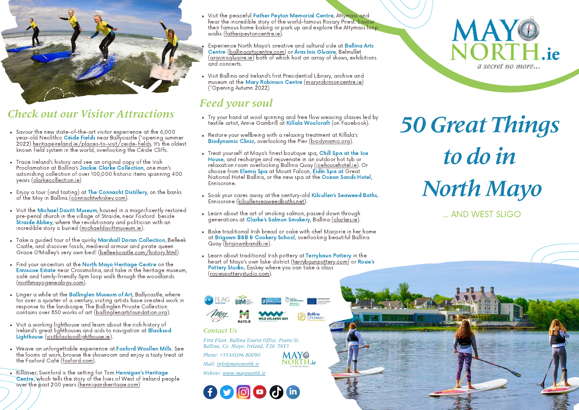

# *Check out our Visitor Attractions* Try your hand at wool spinning and free flow weaving classes led by

- Savour the new state-of-the-art visitor experience at the 6,000 year-old Neolithic Céide Fields near Ballycastle (\*opening summer 2022) heritageireland.ie/places-to-visit/ceide-fields. It's the oldest known field system in the world, overlooking the Céide Cliffs.
- Trace Ireland's history and see an original copy of the Irish Proclamation at Ballina's Jackie Clarke Collection, one man's astonishing collection of over 100,000 historic items spanning 400 years (clarkecollection.ie)
- Enjoy a tour (and tasting) at The Connacht Distillery, on the banks of the Moy in Ballina <u>(connachtwhiskey.com</u>).
- Visit the Michael Davitt Museum, housed in a magnificently restored pre-penal church in the village of Straide, near Foxford beside Straide Abbey, where the revolutionary and politician with an incredible story is buried (michaeldavittmuseum.ie).
- Take a quided tour of the quirky Marshall Doran Collection, Belleek Castle, and discover fossils, medieval armour and pirate queen Grace O'Malley's very own bed! (belleekcastle.com/history.html)
- Find your ancestors at the North Mayo Heritage Centre on the Enniscoe Estate near Crossmolina, and take in the heritage museum, café and family-friendly 5pm loop walk through the woodlands (northmayogenealogy.com).
- Linger a while at the Ballinglen Museum of Art, Ballycastle, where for over a quarter of a century, visiting artists have created work in response to the landscape. The Ballinglen Private Collection contains over 850 works of art (ballinglenartsfoundation.org).
- Visit a working lighthouse and learn about the rich history of Ireland's great lighthouses and aids to navigation at Blacksod Lighthouse (visitblacksodlighthouse.ie).
- Weave an unforgettable experience at Foxford Woollen Mills. See the looms at work, browse the showroom and enjoy a tasty treat at the Foxford Café (foxford.com).
- Killasser, Swinford is the setting for Tom Hennigan's Heritage Centre, which tells the story of the lives of West of Ireland people over the past 200 years (hennigansheritage.com)

Visit the peaceful Father Peyton Memorial Centre, Attymass and hear the incredible story of the world-famous Rosary Priest. Savour their famous home baking or park up and explore the Attymass loop walks (fatherpeytoncentre.ie).

Experience North Mayo's creative and cultural side at Ballina Arts Centre (ballinaartscentre.com) or Áras Inis Gluaire, Belmullet (arasinisgluaire.ie) both of which host an array of shows, exhibitions and concerts.

Visit Ballina and Ireland's first Presidential Library, archive and museum at the Mary Robinson Centre (maryrobinsoncentre.ie) (\*Opening Autumn 2022)

## *Feed your soul*

- textile artist, Annie Gambrill at **Killala Woolcraft** (on Facebook).
- Restore your wellbeing with a relaxing treatment at Killala's Biodynamic Clinic, overlooking the Pier (biodynamic.org).
- Treat yourself at Mayo's finest boutique spa, Chill Spa at the Ice House, and recharge and rejuvenate in an outdoor hot tub or relaxation room overlooking Ballina Quay (icehousehotel.ie). Or choose from Elemis Spa at Mount Falcon, Éidín Spa at Great National Hotel Ballina, or the new spa at the Ocean Sands Hotel, Enniscrone.
- Soak your cares away at the century-old Kilcullen's Seaweed Baths, Enniscrone (kilcullenseaweedbaths.net).
- Learn about the art of smoking salmon, passed down through generations at Clarke's Salmon Smokery, Ballina (clarkes.ie).
- Bake traditional Irish bread or cake with chef Marjorie in her home at Brigown B&B & Cookery School, overlooking beautiful Ballina Quay (brigownbandb.ie).
- Learn about traditional Irish pottery at Terrybaun Pottery in the heart of Mayo's own lake district (terrybaunpottery.com) or Rosie's Pottery Studio, Easkey where you can take a class (rosiespotterystudio.com).

NORTH.ie



#### *Contact Us*

*First Floor, Ballina Tourist Office, Pearse St, Ballina, Co. Mayo, Ireland, F26 T6Y3* **MAY®** *Phone: +353(0)96 80090*

*Mail: info@mayonorth.ie*

*Website: www.mayonorth.ie*





*50 Great Things to do in North Mayo*

... AND WEST SLIGO